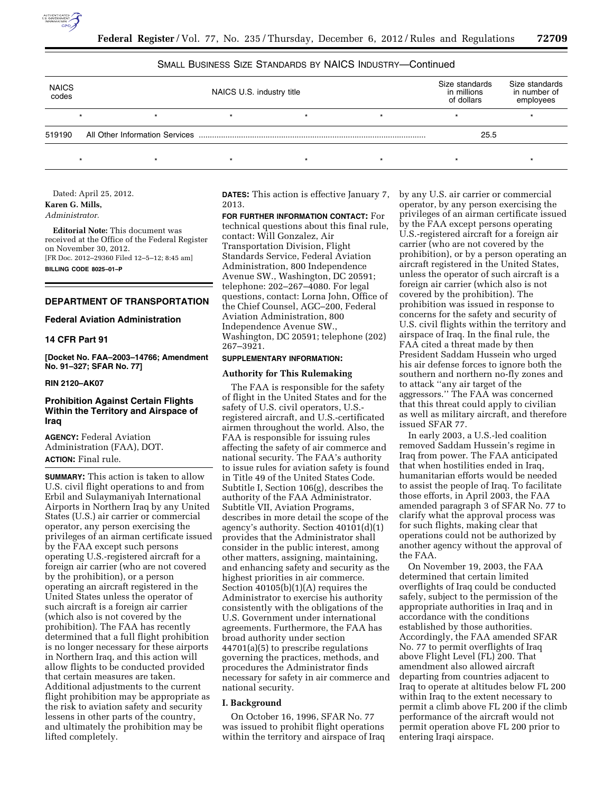

## SMALL BUSINESS SIZE STANDARDS BY NAICS INDUSTRY—Continued

| <b>NAICS</b><br>codes | NAICS U.S. industry title |  |  |   |  | Size standards<br>in millions<br>of dollars | Size standards<br>in number of<br>employees |
|-----------------------|---------------------------|--|--|---|--|---------------------------------------------|---------------------------------------------|
|                       |                           |  |  |   |  |                                             |                                             |
| 519190                |                           |  |  |   |  | 25.5                                        |                                             |
|                       |                           |  |  | ÷ |  |                                             |                                             |

Dated: April 25, 2012.

**Karen G. Mills,** 

*Administrator.* 

**Editorial Note:** This document was received at the Office of the Federal Register on November 30, 2012. [FR Doc. 2012–29360 Filed 12–5–12; 8:45 am] **BILLING CODE 8025–01–P** 

# **DEPARTMENT OF TRANSPORTATION**

## **Federal Aviation Administration**

### **14 CFR Part 91**

**[Docket No. FAA–2003–14766; Amendment No. 91–327; SFAR No. 77]** 

### **RIN 2120–AK07**

# **Prohibition Against Certain Flights Within the Territory and Airspace of Iraq**

**AGENCY:** Federal Aviation Administration (FAA), DOT. **ACTION:** Final rule.

**SUMMARY:** This action is taken to allow U.S. civil flight operations to and from Erbil and Sulaymaniyah International Airports in Northern Iraq by any United States (U.S.) air carrier or commercial operator, any person exercising the privileges of an airman certificate issued by the FAA except such persons operating U.S.-registered aircraft for a foreign air carrier (who are not covered by the prohibition), or a person operating an aircraft registered in the United States unless the operator of such aircraft is a foreign air carrier (which also is not covered by the prohibition). The FAA has recently determined that a full flight prohibition is no longer necessary for these airports in Northern Iraq, and this action will allow flights to be conducted provided that certain measures are taken. Additional adjustments to the current flight prohibition may be appropriate as the risk to aviation safety and security lessens in other parts of the country, and ultimately the prohibition may be lifted completely.

**DATES:** This action is effective January 7, 2013.

**FOR FURTHER INFORMATION CONTACT:** For technical questions about this final rule, contact: Will Gonzalez, Air Transportation Division, Flight Standards Service, Federal Aviation Administration, 800 Independence Avenue SW., Washington, DC 20591; telephone: 202–267–4080. For legal questions, contact: Lorna John, Office of the Chief Counsel, AGC–200, Federal Aviation Administration, 800 Independence Avenue SW., Washington, DC 20591; telephone (202) 267–3921.

## **SUPPLEMENTARY INFORMATION:**

## **Authority for This Rulemaking**

The FAA is responsible for the safety of flight in the United States and for the safety of U.S. civil operators, U.S. registered aircraft, and U.S.-certificated airmen throughout the world. Also, the FAA is responsible for issuing rules affecting the safety of air commerce and national security. The FAA's authority to issue rules for aviation safety is found in Title 49 of the United States Code. Subtitle I, Section 106(g), describes the authority of the FAA Administrator. Subtitle VII, Aviation Programs, describes in more detail the scope of the agency's authority. Section 40101(d)(1) provides that the Administrator shall consider in the public interest, among other matters, assigning, maintaining, and enhancing safety and security as the highest priorities in air commerce. Section 40105(b)(1)(A) requires the Administrator to exercise his authority consistently with the obligations of the U.S. Government under international agreements. Furthermore, the FAA has broad authority under section 44701(a)(5) to prescribe regulations governing the practices, methods, and procedures the Administrator finds necessary for safety in air commerce and national security.

### **I. Background**

On October 16, 1996, SFAR No. 77 was issued to prohibit flight operations within the territory and airspace of Iraq by any U.S. air carrier or commercial operator, by any person exercising the privileges of an airman certificate issued by the FAA except persons operating U.S.-registered aircraft for a foreign air carrier (who are not covered by the prohibition), or by a person operating an aircraft registered in the United States, unless the operator of such aircraft is a foreign air carrier (which also is not covered by the prohibition). The prohibition was issued in response to concerns for the safety and security of U.S. civil flights within the territory and airspace of Iraq. In the final rule, the FAA cited a threat made by then President Saddam Hussein who urged his air defense forces to ignore both the southern and northern no-fly zones and to attack ''any air target of the aggressors.'' The FAA was concerned that this threat could apply to civilian as well as military aircraft, and therefore issued SFAR 77.

In early 2003, a U.S.-led coalition removed Saddam Hussein's regime in Iraq from power. The FAA anticipated that when hostilities ended in Iraq, humanitarian efforts would be needed to assist the people of Iraq. To facilitate those efforts, in April 2003, the FAA amended paragraph 3 of SFAR No. 77 to clarify what the approval process was for such flights, making clear that operations could not be authorized by another agency without the approval of the FAA.

On November 19, 2003, the FAA determined that certain limited overflights of Iraq could be conducted safely, subject to the permission of the appropriate authorities in Iraq and in accordance with the conditions established by those authorities. Accordingly, the FAA amended SFAR No. 77 to permit overflights of Iraq above Flight Level (FL) 200. That amendment also allowed aircraft departing from countries adjacent to Iraq to operate at altitudes below FL 200 within Iraq to the extent necessary to permit a climb above FL 200 if the climb performance of the aircraft would not permit operation above FL 200 prior to entering Iraqi airspace.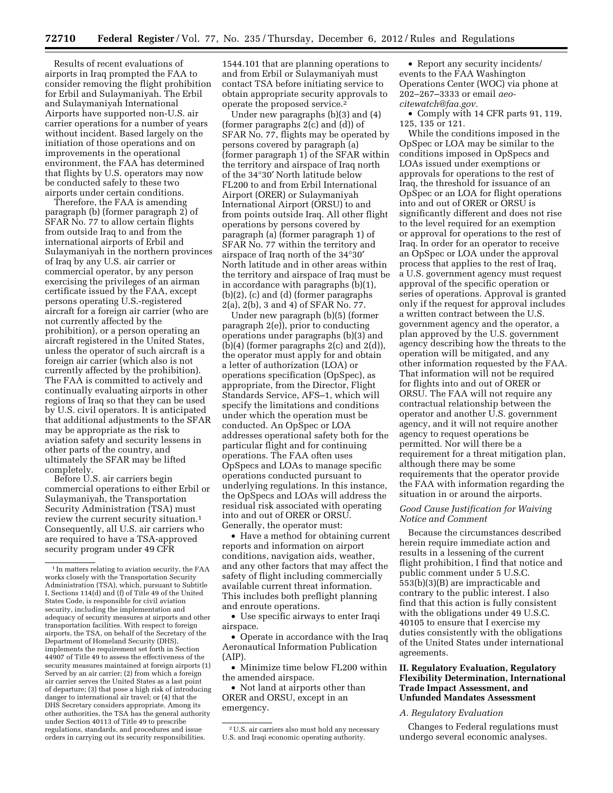Results of recent evaluations of airports in Iraq prompted the FAA to consider removing the flight prohibition for Erbil and Sulaymaniyah. The Erbil and Sulaymaniyah International Airports have supported non-U.S. air carrier operations for a number of years without incident. Based largely on the initiation of those operations and on improvements in the operational environment, the FAA has determined that flights by U.S. operators may now be conducted safely to these two airports under certain conditions.

Therefore, the FAA is amending paragraph (b) (former paragraph 2) of SFAR No. 77 to allow certain flights from outside Iraq to and from the international airports of Erbil and Sulaymaniyah in the northern provinces of Iraq by any U.S. air carrier or commercial operator, by any person exercising the privileges of an airman certificate issued by the FAA, except persons operating U.S.-registered aircraft for a foreign air carrier (who are not currently affected by the prohibition), or a person operating an aircraft registered in the United States, unless the operator of such aircraft is a foreign air carrier (which also is not currently affected by the prohibition). The FAA is committed to actively and continually evaluating airports in other regions of Iraq so that they can be used by U.S. civil operators. It is anticipated that additional adjustments to the SFAR may be appropriate as the risk to aviation safety and security lessens in other parts of the country, and ultimately the SFAR may be lifted completely.

Before U.S. air carriers begin commercial operations to either Erbil or Sulaymaniyah, the Transportation Security Administration (TSA) must review the current security situation.<sup>1</sup> Consequently, all U.S. air carriers who are required to have a TSA-approved security program under 49 CFR

1544.101 that are planning operations to and from Erbil or Sulaymaniyah must contact TSA before initiating service to obtain appropriate security approvals to operate the proposed service.2

Under new paragraphs (b)(3) and (4) (former paragraphs 2(c) and (d)) of SFAR No. 77, flights may be operated by persons covered by paragraph (a) (former paragraph 1) of the SFAR within the territory and airspace of Iraq north of the 34°30′ North latitude below FL200 to and from Erbil International Airport (ORER) or Sulaymaniyah International Airport (ORSU) to and from points outside Iraq. All other flight operations by persons covered by paragraph (a) (former paragraph 1) of SFAR No. 77 within the territory and airspace of Iraq north of the 34°30′ North latitude and in other areas within the territory and airspace of Iraq must be in accordance with paragraphs (b)(1), (b)(2), (c) and (d) (former paragraphs 2(a), 2(b), 3 and 4) of SFAR No. 77.

Under new paragraph (b)(5) (former paragraph 2(e)), prior to conducting operations under paragraphs (b)(3) and (b) $(4)$  (former paragraphs 2(c) and 2(d)), the operator must apply for and obtain a letter of authorization (LOA) or operations specification (OpSpec), as appropriate, from the Director, Flight Standards Service, AFS–1, which will specify the limitations and conditions under which the operation must be conducted. An OpSpec or LOA addresses operational safety both for the particular flight and for continuing operations. The FAA often uses OpSpecs and LOAs to manage specific operations conducted pursuant to underlying regulations. In this instance, the OpSpecs and LOAs will address the residual risk associated with operating into and out of ORER or ORSU. Generally, the operator must:

• Have a method for obtaining current reports and information on airport conditions, navigation aids, weather, and any other factors that may affect the safety of flight including commercially available current threat information. This includes both preflight planning and enroute operations.

• Use specific airways to enter Iraqi airspace.

• Operate in accordance with the Iraq Aeronautical Information Publication (AIP).

• Minimize time below FL200 within the amended airspace.

• Not land at airports other than ORER and ORSU, except in an emergency.

• Report any security incidents/ events to the FAA Washington Operations Center (WOC) via phone at 202–267–3333 or email *[aeo](mailto:aeo-citewatch@faa.gov)[citewatch@faa.gov.](mailto:aeo-citewatch@faa.gov)* 

• Comply with 14 CFR parts 91, 119, 125, 135 or 121.

While the conditions imposed in the OpSpec or LOA may be similar to the conditions imposed in OpSpecs and LOAs issued under exemptions or approvals for operations to the rest of Iraq, the threshold for issuance of an OpSpec or an LOA for flight operations into and out of ORER or ORSU is significantly different and does not rise to the level required for an exemption or approval for operations to the rest of Iraq. In order for an operator to receive an OpSpec or LOA under the approval process that applies to the rest of Iraq, a U.S. government agency must request approval of the specific operation or series of operations. Approval is granted only if the request for approval includes a written contract between the U.S. government agency and the operator, a plan approved by the U.S. government agency describing how the threats to the operation will be mitigated, and any other information requested by the FAA. That information will not be required for flights into and out of ORER or ORSU. The FAA will not require any contractual relationship between the operator and another U.S. government agency, and it will not require another agency to request operations be permitted. Nor will there be a requirement for a threat mitigation plan, although there may be some requirements that the operator provide the FAA with information regarding the situation in or around the airports.

## *Good Cause Justification for Waiving Notice and Comment*

Because the circumstances described herein require immediate action and results in a lessening of the current flight prohibition, I find that notice and public comment under 5 U.S.C. 553(b)(3)(B) are impracticable and contrary to the public interest. I also find that this action is fully consistent with the obligations under 49 U.S.C. 40105 to ensure that I exercise my duties consistently with the obligations of the United States under international agreements.

## **II. Regulatory Evaluation, Regulatory Flexibility Determination, International Trade Impact Assessment, and Unfunded Mandates Assessment**

## *A. Regulatory Evaluation*

Changes to Federal regulations must undergo several economic analyses.

<sup>1</sup> In matters relating to aviation security, the FAA works closely with the Transportation Security Administration (TSA), which, pursuant to Subtitle I, Sections 114(d) and (f) of Title 49 of the United States Code, is responsible for civil aviation security, including the implementation and adequacy of security measures at airports and other transportation facilities. With respect to foreign airports, the TSA, on behalf of the Secretary of the Department of Homeland Security (DHS), implements the requirement set forth in Section 44907 of Title 49 to assess the effectiveness of the security measures maintained at foreign airports (1) Served by an air carrier; (2) from which a foreign air carrier serves the United States as a last point of departure; (3) that pose a high risk of introducing danger to international air travel; or (4) that the DHS Secretary considers appropriate. Among its other authorities, the TSA has the general authority under Section 40113 of Title 49 to prescribe regulations, standards, and procedures and issue orders in carrying out its security responsibilities.

<sup>2</sup>U.S. air carriers also must hold any necessary U.S. and Iraqi economic operating authority.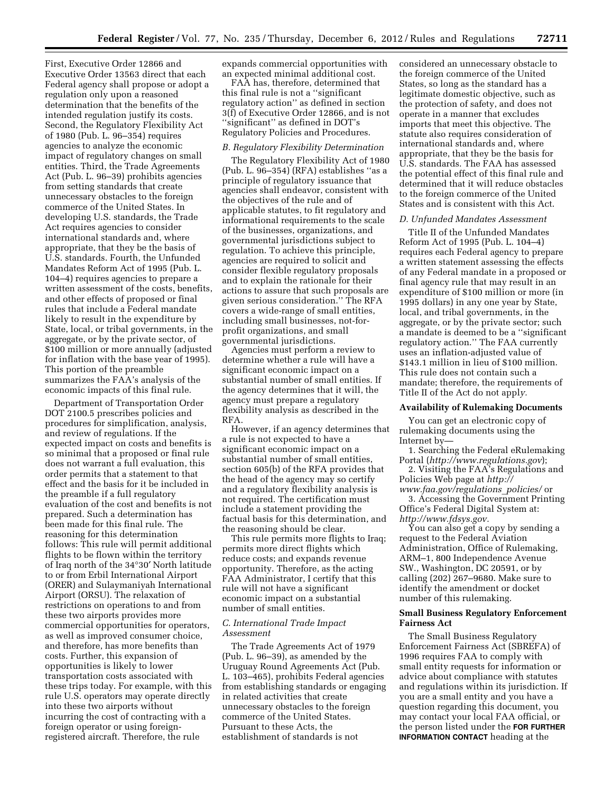First, Executive Order 12866 and Executive Order 13563 direct that each Federal agency shall propose or adopt a regulation only upon a reasoned determination that the benefits of the intended regulation justify its costs. Second, the Regulatory Flexibility Act of 1980 (Pub. L. 96–354) requires agencies to analyze the economic impact of regulatory changes on small entities. Third, the Trade Agreements Act (Pub. L. 96–39) prohibits agencies from setting standards that create unnecessary obstacles to the foreign commerce of the United States. In developing U.S. standards, the Trade Act requires agencies to consider international standards and, where appropriate, that they be the basis of U.S. standards. Fourth, the Unfunded Mandates Reform Act of 1995 (Pub. L. 104–4) requires agencies to prepare a written assessment of the costs, benefits, and other effects of proposed or final rules that include a Federal mandate likely to result in the expenditure by State, local, or tribal governments, in the aggregate, or by the private sector, of \$100 million or more annually (adjusted for inflation with the base year of 1995). This portion of the preamble summarizes the FAA's analysis of the economic impacts of this final rule.

Department of Transportation Order DOT 2100.5 prescribes policies and procedures for simplification, analysis, and review of regulations. If the expected impact on costs and benefits is so minimal that a proposed or final rule does not warrant a full evaluation, this order permits that a statement to that effect and the basis for it be included in the preamble if a full regulatory evaluation of the cost and benefits is not prepared. Such a determination has been made for this final rule. The reasoning for this determination follows: This rule will permit additional flights to be flown within the territory of Iraq north of the 34°30′ North latitude to or from Erbil International Airport (ORER) and Sulaymaniyah International Airport (ORSU). The relaxation of restrictions on operations to and from these two airports provides more commercial opportunities for operators, as well as improved consumer choice, and therefore, has more benefits than costs. Further, this expansion of opportunities is likely to lower transportation costs associated with these trips today. For example, with this rule U.S. operators may operate directly into these two airports without incurring the cost of contracting with a foreign operator or using foreignregistered aircraft. Therefore, the rule

expands commercial opportunities with an expected minimal additional cost.

FAA has, therefore, determined that this final rule is not a ''significant regulatory action'' as defined in section 3(f) of Executive Order 12866, and is not ''significant'' as defined in DOT's Regulatory Policies and Procedures.

## *B. Regulatory Flexibility Determination*

The Regulatory Flexibility Act of 1980 (Pub. L. 96–354) (RFA) establishes ''as a principle of regulatory issuance that agencies shall endeavor, consistent with the objectives of the rule and of applicable statutes, to fit regulatory and informational requirements to the scale of the businesses, organizations, and governmental jurisdictions subject to regulation. To achieve this principle, agencies are required to solicit and consider flexible regulatory proposals and to explain the rationale for their actions to assure that such proposals are given serious consideration.'' The RFA covers a wide-range of small entities, including small businesses, not-forprofit organizations, and small governmental jurisdictions.

Agencies must perform a review to determine whether a rule will have a significant economic impact on a substantial number of small entities. If the agency determines that it will, the agency must prepare a regulatory flexibility analysis as described in the RFA.

However, if an agency determines that a rule is not expected to have a significant economic impact on a substantial number of small entities, section 605(b) of the RFA provides that the head of the agency may so certify and a regulatory flexibility analysis is not required. The certification must include a statement providing the factual basis for this determination, and the reasoning should be clear.

This rule permits more flights to Iraq; permits more direct flights which reduce costs; and expands revenue opportunity. Therefore, as the acting FAA Administrator, I certify that this rule will not have a significant economic impact on a substantial number of small entities.

### *C. International Trade Impact Assessment*

The Trade Agreements Act of 1979 (Pub. L. 96–39), as amended by the Uruguay Round Agreements Act (Pub. L. 103–465), prohibits Federal agencies from establishing standards or engaging in related activities that create unnecessary obstacles to the foreign commerce of the United States. Pursuant to these Acts, the establishment of standards is not

considered an unnecessary obstacle to the foreign commerce of the United States, so long as the standard has a legitimate domestic objective, such as the protection of safety, and does not operate in a manner that excludes imports that meet this objective. The statute also requires consideration of international standards and, where appropriate, that they be the basis for U.S. standards. The FAA has assessed the potential effect of this final rule and determined that it will reduce obstacles to the foreign commerce of the United States and is consistent with this Act.

#### *D. Unfunded Mandates Assessment*

Title II of the Unfunded Mandates Reform Act of 1995 (Pub. L. 104–4) requires each Federal agency to prepare a written statement assessing the effects of any Federal mandate in a proposed or final agency rule that may result in an expenditure of \$100 million or more (in 1995 dollars) in any one year by State, local, and tribal governments, in the aggregate, or by the private sector; such a mandate is deemed to be a ''significant regulatory action.'' The FAA currently uses an inflation-adjusted value of \$143.1 million in lieu of \$100 million. This rule does not contain such a mandate; therefore, the requirements of Title II of the Act do not appl*y.* 

### **Availability of Rulemaking Documents**

You can get an electronic copy of rulemaking documents using the Internet by—

1. Searching the Federal eRulemaking Portal (*<http://www.regulations.gov>*);

2. Visiting the FAA's Regulations and Policies Web page at *[http://](http://www.faa.gov/regulations_policies/)* 

*[www.faa.gov/regulations](http://www.faa.gov/regulations_policies/)*\_*policies/* or 3. Accessing the Government Printing Office's Federal Digital System at:

*[http://www.fdsys.gov.](http://www.fdsys.gov)*  You can also get a copy by sending a request to the Federal Aviation Administration, Office of Rulemaking, ARM–1, 800 Independence Avenue SW., Washington, DC 20591, or by calling (202) 267–9680. Make sure to identify the amendment or docket number of this rulemaking.

## **Small Business Regulatory Enforcement Fairness Act**

The Small Business Regulatory Enforcement Fairness Act (SBREFA) of 1996 requires FAA to comply with small entity requests for information or advice about compliance with statutes and regulations within its jurisdiction. If you are a small entity and you have a question regarding this document, you may contact your local FAA official, or the person listed under the **FOR FURTHER INFORMATION CONTACT** heading at the